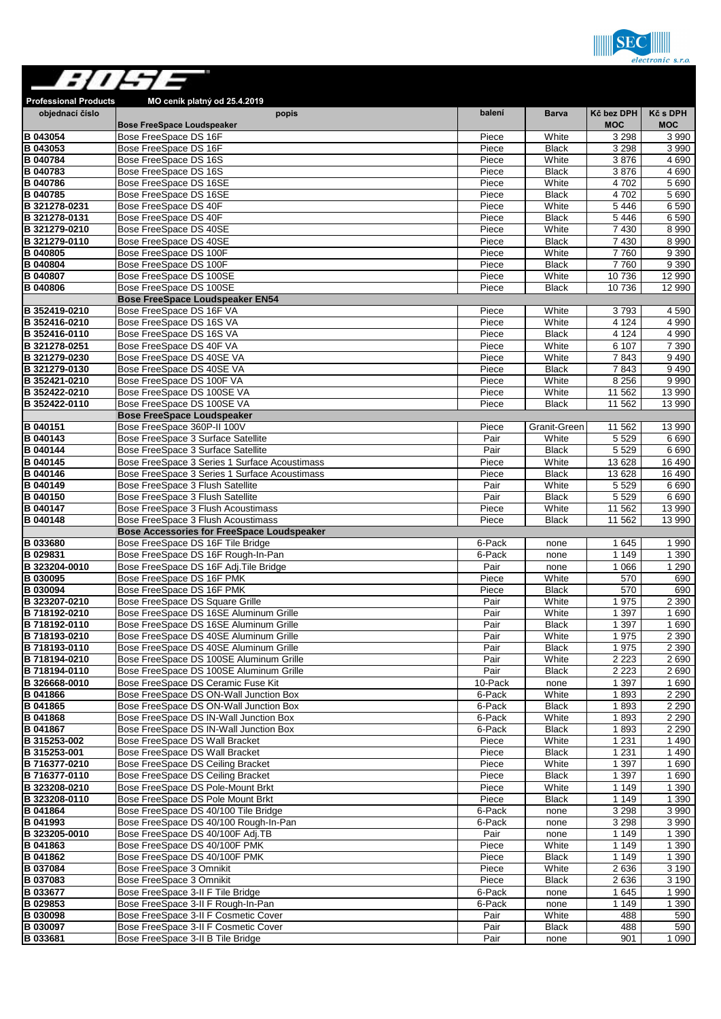

| ://H7=                             |                                                                                                |                  |                       |                          |                        |
|------------------------------------|------------------------------------------------------------------------------------------------|------------------|-----------------------|--------------------------|------------------------|
| <b>Professional Products</b>       | MO ceník platný od 25.4.2019                                                                   |                  |                       |                          |                        |
| objednací číslo                    | popis<br><b>Bose FreeSpace Loudspeaker</b>                                                     | balení           | <b>Barva</b>          | Kč bez DPH<br><b>MOC</b> | Kč s DPH<br><b>MOC</b> |
| <b>B</b> 043054                    | Bose FreeSpace DS 16F                                                                          | Piece            | White                 | 3 2 9 8                  | 3 9 9 0                |
| <b>B</b> 043053<br><b>B</b> 040784 | Bose FreeSpace DS 16F<br>Bose FreeSpace DS 16S                                                 | Piece<br>Piece   | <b>Black</b><br>White | 3 2 9 8<br>3876          | 3 9 9 0<br>4690        |
| B 040783                           | Bose FreeSpace DS 16S                                                                          | Piece            | <b>Black</b>          | 3876                     | 4 6 9 0                |
| <b>B</b> 040786                    | Bose FreeSpace DS 16SE                                                                         | Piece            | White                 | 4702                     | 5 6 9 0                |
| <b>B</b> 040785                    | Bose FreeSpace DS 16SE                                                                         | Piece            | <b>Black</b>          | 4702                     | 5 6 9 0                |
| B 321278-0231<br>B 321278-0131     | Bose FreeSpace DS 40F<br>Bose FreeSpace DS 40F                                                 | Piece<br>Piece   | White<br><b>Black</b> | 5 4 4 6<br>5 4 4 6       | 6590<br>6590           |
| B 321279-0210                      | Bose FreeSpace DS 40SE                                                                         | Piece            | White                 | 7 4 3 0                  | 8 9 9 0                |
| B 321279-0110                      | Bose FreeSpace DS 40SE                                                                         | Piece            | <b>Black</b>          | 7 4 3 0                  | 8 9 9 0                |
| <b>B</b> 040805                    | Bose FreeSpace DS 100F                                                                         | Piece            | White                 | 7760                     | 9 3 9 0                |
| B 040804                           | Bose FreeSpace DS 100F                                                                         | Piece            | <b>Black</b>          | 7760                     | 9390                   |
| B 040807<br><b>B</b> 040806        | Bose FreeSpace DS 100SE<br>Bose FreeSpace DS 100SE                                             | Piece<br>Piece   | White<br><b>Black</b> | 10736<br>10736           | 12 990<br>12 990       |
|                                    | <b>Bose FreeSpace Loudspeaker EN54</b>                                                         |                  |                       |                          |                        |
| B 352419-0210                      | Bose FreeSpace DS 16F VA                                                                       | Piece            | White                 | 3793                     | 4 5 9 0                |
| B 352416-0210                      | Bose FreeSpace DS 16S VA                                                                       | Piece            | White                 | 4 1 2 4                  | 4 9 9 0                |
| B 352416-0110<br>B 321278-0251     | Bose FreeSpace DS 16S VA<br>Bose FreeSpace DS 40F VA                                           | Piece<br>Piece   | <b>Black</b><br>White | 4 1 2 4<br>6 107         | 4 9 9 0<br>7 3 9 0     |
| B 321279-0230                      | Bose FreeSpace DS 40SE VA                                                                      | Piece            | White                 | 7843                     | 9490                   |
| B 321279-0130                      | Bose FreeSpace DS 40SE VA                                                                      | Piece            | <b>Black</b>          | 7843                     | 9 4 9 0                |
| B 352421-0210                      | Bose FreeSpace DS 100F VA                                                                      | Piece            | White                 | 8 2 5 6                  | 9 9 9 0                |
| B 352422-0210                      | Bose FreeSpace DS 100SE VA                                                                     | Piece            | White                 | 11 562                   | 13 990                 |
| B 352422-0110                      | Bose FreeSpace DS 100SE VA<br><b>Bose FreeSpace Loudspeaker</b>                                | Piece            | <b>Black</b>          | 11 562                   | 13 990                 |
| <b>B</b> 040151                    | Bose FreeSpace 360P-II 100V                                                                    | Piece            | Granit-Green          | 11 562                   | 13 990                 |
| <b>B</b> 040143                    | Bose FreeSpace 3 Surface Satellite                                                             | Pair             | White                 | 5 5 2 9                  | 6690                   |
| <b>B</b> 040144                    | Bose FreeSpace 3 Surface Satellite                                                             | Pair             | <b>Black</b>          | 5 5 2 9                  | 6690                   |
| B 040145<br><b>B</b> 040146        | Bose FreeSpace 3 Series 1 Surface Acoustimass<br>Bose FreeSpace 3 Series 1 Surface Acoustimass | Piece<br>Piece   | White<br><b>Black</b> | 13 628<br>13 6 28        | 16 490<br>16 490       |
| <b>B</b> 040149                    | Bose FreeSpace 3 Flush Satellite                                                               | Pair             | White                 | 5 5 2 9                  | 6690                   |
| <b>B</b> 040150                    | Bose FreeSpace 3 Flush Satellite                                                               | Pair             | <b>Black</b>          | 5 5 2 9                  | 6690                   |
| <b>B</b> 040147                    | Bose FreeSpace 3 Flush Acoustimass                                                             | Piece            | White                 | 11 562                   | 13 990                 |
| B 040148                           | Bose FreeSpace 3 Flush Acoustimass                                                             | Piece            | <b>Black</b>          | 11 562                   | 13 990                 |
| <b>B</b> 033680                    | <b>Bose Accessories for FreeSpace Loudspeaker</b><br>Bose FreeSpace DS 16F Tile Bridge         | 6-Pack           | none                  | 1645                     | 1990                   |
| <b>B</b> 029831                    | Bose FreeSpace DS 16F Rough-In-Pan                                                             | 6-Pack           | none                  | 1 1 4 9                  | 1 3 9 0                |
| B 323204-0010                      | Bose FreeSpace DS 16F Adj. Tile Bridge                                                         | Pair             | none                  | 1 0 6 6                  | 1 2 9 0                |
| B 030095                           | Bose FreeSpace DS 16F PMK                                                                      | Piece            | White                 | 570                      | 690                    |
| <b>B</b> 030094<br>B 323207-0210   | Bose FreeSpace DS 16F PMK<br>Bose FreeSpace DS Square Grille                                   | Piece<br>Pair    | <b>Black</b><br>White | 570<br>1975              | 690<br>2 3 9 0         |
| B 718192-0210                      | Bose FreeSpace DS 16SE Aluminum Grille                                                         | Pair             | White                 | 1 3 9 7                  | 1690                   |
| B 718192-0110                      | Bose FreeSpace DS 16SE Aluminum Grille                                                         | Pair             | <b>Black</b>          | 1 3 9 7                  | 1690                   |
| B 718193-0210                      | Bose FreeSpace DS 40SE Aluminum Grille                                                         | Pair             | White                 | 1975                     | 2 3 9 0                |
| B 718193-0110<br>B 718194-0210     | Bose FreeSpace DS 40SE Aluminum Grille<br>Bose FreeSpace DS 100SE Aluminum Grille              | Pair             | <b>Black</b><br>White | 1975<br>2 2 2 3          | 2 3 9 0<br>2690        |
| B 718194-0110                      | Bose FreeSpace DS 100SE Aluminum Grille                                                        | Pair<br>Pair     | <b>Black</b>          | 2 2 2 3                  | 2 690                  |
| B 326668-0010                      | Bose FreeSpace DS Ceramic Fuse Kit                                                             | 10-Pack          | none                  | 1 3 9 7                  | 1 690                  |
| <b>B</b> 041866                    | Bose FreeSpace DS ON-Wall Junction Box                                                         | 6-Pack           | White                 | 1893                     | 2 2 9 0                |
| <b>B</b> 041865                    | Bose FreeSpace DS ON-Wall Junction Box                                                         | 6-Pack           | <b>Black</b>          | 1893                     | 2 2 9 0                |
| <b>B</b> 041868<br><b>B</b> 041867 | Bose FreeSpace DS IN-Wall Junction Box<br>Bose FreeSpace DS IN-Wall Junction Box               | 6-Pack<br>6-Pack | White<br><b>Black</b> | 1893<br>1893             | 2 2 9 0<br>2 2 9 0     |
| B 315253-002                       | Bose FreeSpace DS Wall Bracket                                                                 | Piece            | White                 | 1 2 3 1                  | 1490                   |
| B 315253-001                       | Bose FreeSpace DS Wall Bracket                                                                 | Piece            | <b>Black</b>          | 1 2 3 1                  | 1490                   |
| B 716377-0210                      | Bose FreeSpace DS Ceiling Bracket                                                              | Piece            | White                 | 1 3 9 7                  | 1690                   |
| B 716377-0110<br>B 323208-0210     | Bose FreeSpace DS Ceiling Bracket<br>Bose FreeSpace DS Pole-Mount Brkt                         | Piece<br>Piece   | <b>Black</b><br>White | 1 3 9 7<br>1 1 4 9       | 1 6 9 0<br>1 3 9 0     |
| B 323208-0110                      | Bose FreeSpace DS Pole Mount Brkt                                                              | Piece            | <b>Black</b>          | 1 1 4 9                  | 1 3 9 0                |
| <b>B</b> 041864                    | Bose FreeSpace DS 40/100 Tile Bridge                                                           | 6-Pack           | none                  | 3 2 9 8                  | 3 9 9 0                |
| <b>B</b> 041993                    | Bose FreeSpace DS 40/100 Rough-In-Pan                                                          | 6-Pack           | none                  | 3 2 9 8                  | 3 9 9 0                |
| B 323205-0010                      | Bose FreeSpace DS 40/100F Adj.TB                                                               | Pair             | none                  | 1 1 4 9                  | 1 3 9 0                |
| <b>B</b> 041863<br><b>B</b> 041862 | Bose FreeSpace DS 40/100F PMK<br>Bose FreeSpace DS 40/100F PMK                                 | Piece<br>Piece   | White<br><b>Black</b> | 1 1 4 9<br>1 1 4 9       | 1 3 9 0<br>1 3 9 0     |
| B 037084                           | Bose FreeSpace 3 Omnikit                                                                       | Piece            | White                 | 2636                     | 3 1 9 0                |
| <b>B</b> 037083                    | Bose FreeSpace 3 Omnikit                                                                       | Piece            | <b>Black</b>          | 2636                     | 3 1 9 0                |
| <b>B</b> 033677                    | Bose FreeSpace 3-II F Tile Bridge                                                              | 6-Pack           | none                  | 1 645                    | 1990                   |
| <b>B</b> 029853<br><b>B</b> 030098 | Bose FreeSpace 3-II F Rough-In-Pan<br>Bose FreeSpace 3-II F Cosmetic Cover                     | 6-Pack<br>Pair   | none<br>White         | 1 1 4 9<br>488           | 1 3 9 0<br>590         |
| <b>B</b> 030097                    | Bose FreeSpace 3-II F Cosmetic Cover                                                           | Pair             | <b>Black</b>          | 488                      | 590                    |
| B 033681                           | Bose FreeSpace 3-II B Tile Bridge                                                              | Pair             | none                  | 901                      | 1 0 9 0                |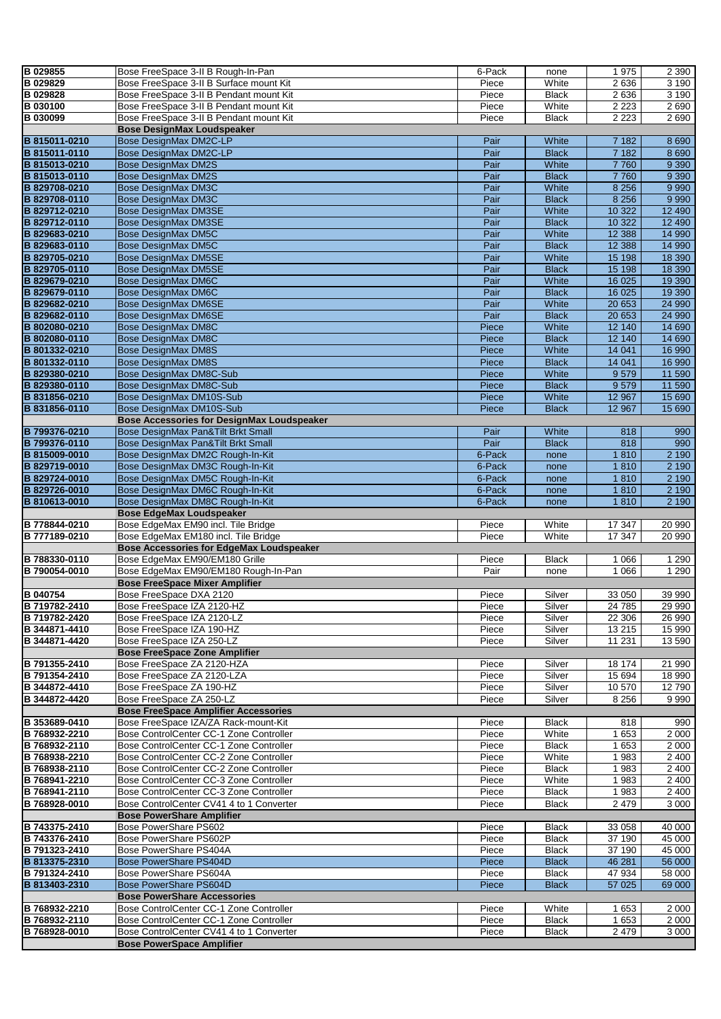| <b>B</b> 029855 | Bose FreeSpace 3-II B Rough-In-Pan                                           | 6-Pack | none         | 1975     | 2 3 9 0        |
|-----------------|------------------------------------------------------------------------------|--------|--------------|----------|----------------|
|                 |                                                                              |        |              |          |                |
| B 029829        | Bose FreeSpace 3-II B Surface mount Kit                                      | Piece  | White        | 2636     | 3 1 9 0        |
| B 029828        | Bose FreeSpace 3-II B Pendant mount Kit                                      | Piece  | <b>Black</b> | 2636     | 3190           |
| B 030100        | Bose FreeSpace 3-II B Pendant mount Kit                                      | Piece  | White        | 2 2 2 3  | 2690           |
| B 030099        | Bose FreeSpace 3-II B Pendant mount Kit                                      | Piece  | <b>Black</b> | 2 2 2 3  | 2690           |
|                 | <b>Bose DesignMax Loudspeaker</b>                                            |        |              |          |                |
| B 815011-0210   | Bose DesignMax DM2C-LP                                                       | Pair   | White        | 7 1 8 2  | 8690           |
|                 |                                                                              |        |              |          |                |
| B 815011-0110   | <b>Bose DesignMax DM2C-LP</b>                                                | Pair   | <b>Black</b> | 7 1 8 2  | 8 6 9 0        |
| B 815013-0210   | <b>Bose DesignMax DM2S</b>                                                   | Pair   | White        | 7760     | 9 3 9 0        |
| B 815013-0110   | <b>Bose DesignMax DM2S</b>                                                   | Pair   | <b>Black</b> | 7760     | 9 3 9 0        |
| B 829708-0210   | <b>Bose DesignMax DM3C</b>                                                   | Pair   | White        | 8 2 5 6  | 9 9 9 0        |
| B 829708-0110   | <b>Bose DesignMax DM3C</b>                                                   | Pair   | <b>Black</b> | 8 2 5 6  | 9 9 9 0        |
|                 |                                                                              |        |              |          |                |
| B 829712-0210   | <b>Bose DesignMax DM3SE</b>                                                  | Pair   | White        | 10 322   | 12 490         |
| B 829712-0110   | <b>Bose DesignMax DM3SE</b>                                                  | Pair   | <b>Black</b> | 10 322   | 12 490         |
| B 829683-0210   | <b>Bose DesignMax DM5C</b>                                                   | Pair   | White        | 12 3 88  | 14 990         |
| B 829683-0110   | <b>Bose DesignMax DM5C</b>                                                   | Pair   | <b>Black</b> | 12 3 8 8 | 14 990         |
| B 829705-0210   | <b>Bose DesignMax DM5SE</b>                                                  | Pair   | White        | 15 198   | 18 390         |
| B 829705-0110   | <b>Bose DesignMax DM5SE</b>                                                  | Pair   | <b>Black</b> | 15 198   | 18 390         |
|                 |                                                                              |        |              |          |                |
| B 829679-0210   | <b>Bose DesignMax DM6C</b>                                                   | Pair   | White        | 16 0 25  | 19 390         |
| B 829679-0110   | <b>Bose DesignMax DM6C</b>                                                   | Pair   | <b>Black</b> | 16 0 25  | 19 390         |
| B 829682-0210   | <b>Bose DesignMax DM6SE</b>                                                  | Pair   | White        | 20 653   | 24 990         |
| B 829682-0110   | <b>Bose DesignMax DM6SE</b>                                                  | Pair   | <b>Black</b> | 20 653   | 24 990         |
| B 802080-0210   | <b>Bose DesignMax DM8C</b>                                                   | Piece  | White        | 12 140   | 14 690         |
| B 802080-0110   | <b>Bose DesignMax DM8C</b>                                                   | Piece  | <b>Black</b> | 12 140   | 14 690         |
|                 |                                                                              |        |              |          |                |
| B 801332-0210   | <b>Bose DesignMax DM8S</b>                                                   | Piece  | White        | 14 041   | 16 990         |
| B 801332-0110   | <b>Bose DesignMax DM8S</b>                                                   | Piece  | <b>Black</b> | 14 041   | 16 990         |
| B 829380-0210   | <b>Bose DesignMax DM8C-Sub</b>                                               | Piece  | White        | 9579     | 11 590         |
| B 829380-0110   | Bose DesignMax DM8C-Sub                                                      | Piece  | <b>Black</b> | 9579     | 11 590         |
| B 831856-0210   | Bose DesignMax DM10S-Sub                                                     | Piece  | White        | 12 967   | 15 690         |
| B 831856-0110   | Bose DesignMax DM10S-Sub                                                     | Piece  | <b>Black</b> | 12 967   | 15 690         |
|                 |                                                                              |        |              |          |                |
|                 | <b>Bose Accessories for DesignMax Loudspeaker</b>                            |        |              |          |                |
| B 799376-0210   | Bose DesignMax Pan&Tilt Brkt Small                                           | Pair   | White        | 818      | 990            |
| B 799376-0110   | Bose DesignMax Pan&Tilt Brkt Small                                           | Pair   | <b>Black</b> | 818      | 990            |
| B 815009-0010   | Bose DesignMax DM2C Rough-In-Kit                                             | 6-Pack | none         | 1810     | 2 1 9 0        |
| B 829719-0010   | Bose DesignMax DM3C Rough-In-Kit                                             | 6-Pack | none         | 1810     | 2 1 9 0        |
| B 829724-0010   | Bose DesignMax DM5C Rough-In-Kit                                             | 6-Pack |              | 1810     | 2 1 9 0        |
|                 |                                                                              |        | none         |          |                |
| B 829726-0010   | Bose DesignMax DM6C Rough-In-Kit                                             | 6-Pack | none         | 1810     | 2 1 9 0        |
| B 810613-0010   |                                                                              | 6-Pack |              |          | 2 1 9 0        |
|                 | Bose DesignMax DM8C Rough-In-Kit                                             |        | none         | 1810     |                |
|                 | <b>Bose EdgeMax Loudspeaker</b>                                              |        |              |          |                |
|                 |                                                                              |        |              |          |                |
| B 778844-0210   | Bose EdgeMax EM90 incl. Tile Bridge                                          | Piece  | White        | 17 347   | 20 990         |
| B 777189-0210   | Bose EdgeMax EM180 incl. Tile Bridge                                         | Piece  | White        | 17 347   | 20 990         |
|                 | <b>Bose Accessories for EdgeMax Loudspeaker</b>                              |        |              |          |                |
| B 788330-0110   | Bose EdgeMax EM90/EM180 Grille                                               | Piece  | <b>Black</b> | 1 0 6 6  | 1 2 9 0        |
| B 790054-0010   | Bose EdgeMax EM90/EM180 Rough-In-Pan                                         | Pair   | none         | 1 0 6 6  | 1 2 9 0        |
|                 | <b>Bose FreeSpace Mixer Amplifier</b>                                        |        |              |          |                |
| B 040754        | Bose FreeSpace DXA 2120                                                      | Piece  | Silver       | 33 050   | 39 990         |
|                 |                                                                              |        |              |          |                |
| B 719782-2410   | Bose FreeSpace IZA 2120-HZ                                                   | Piece  | Silver       | 24 785   | 29 990         |
| B 719782-2420   | Bose FreeSpace IZA 2120-LZ                                                   | Piece  | Silver       | 22 306   | 26 990         |
| B 344871-4410   | Bose FreeSpace IZA 190-HZ                                                    | Piece  | Silver       | 13 215   | 15 990         |
| B 344871-4420   | Bose FreeSpace IZA 250-LZ                                                    | Piece  | Silver       | 11 231   | 13 590         |
|                 | <b>Bose FreeSpace Zone Amplifier</b>                                         |        |              |          |                |
| B 791355-2410   | Bose FreeSpace ZA 2120-HZA                                                   | Piece  | Silver       | 18 174   | 21 990         |
| B 791354-2410   | Bose FreeSpace ZA 2120-LZA                                                   | Piece  | Silver       | 15 694   | 18 990         |
|                 |                                                                              |        |              |          |                |
| B 344872-4410   | Bose FreeSpace ZA 190-HZ                                                     | Piece  | Silver       | 10 570   | 12790          |
| B 344872-4420   | Bose FreeSpace ZA 250-LZ                                                     | Piece  | Silver       | 8 2 5 6  | 9990           |
|                 | <b>Bose FreeSpace Amplifier Accessories</b>                                  |        |              |          |                |
| B 353689-0410   | Bose FreeSpace IZA/ZA Rack-mount-Kit                                         | Piece  | <b>Black</b> | 818      | 990            |
| B 768932-2210   | Bose ControlCenter CC-1 Zone Controller                                      | Piece  | White        | 1 653    | 2 0 0 0        |
| B 768932-2110   | Bose ControlCenter CC-1 Zone Controller                                      | Piece  | Black        | 1653     | 2 0 0 0        |
| B 768938-2210   | Bose ControlCenter CC-2 Zone Controller                                      | Piece  | White        | 1983     | 2 400          |
|                 |                                                                              |        |              |          |                |
| B 768938-2110   | Bose ControlCenter CC-2 Zone Controller                                      | Piece  | Black        | 1983     | $\sqrt{2}$ 400 |
| B 768941-2210   | Bose ControlCenter CC-3 Zone Controller                                      | Piece  | White        | 1983     | 2 400          |
| B 768941-2110   | Bose ControlCenter CC-3 Zone Controller                                      | Piece  | Black        | 1983     | 2 4 0 0        |
| B 768928-0010   | Bose ControlCenter CV41 4 to 1 Converter                                     | Piece  | Black        | 2 4 7 9  | 3 0 0 0        |
|                 | <b>Bose PowerShare Amplifier</b>                                             |        |              |          |                |
| B 743375-2410   | Bose PowerShare PS602                                                        | Piece  | Black        | 33 058   | 40 000         |
| B 743376-2410   | Bose PowerShare PS602P                                                       | Piece  | Black        | 37 190   | 45 000         |
|                 |                                                                              |        |              |          |                |
| B 791323-2410   | Bose PowerShare PS404A                                                       | Piece  | Black        | 37 190   | 45 000         |
| B 813375-2310   | <b>Bose PowerShare PS404D</b>                                                | Piece  | <b>Black</b> | 46 281   | 56 000         |
| B 791324-2410   | Bose PowerShare PS604A                                                       | Piece  | Black        | 47 934   | 58 000         |
| B 813403-2310   | Bose PowerShare PS604D                                                       | Piece  | <b>Black</b> | 57 0 25  | 69 000         |
|                 | <b>Bose PowerShare Accessories</b>                                           |        |              |          |                |
| B 768932-2210   | Bose ControlCenter CC-1 Zone Controller                                      | Piece  | White        | 1 653    | 2 000          |
|                 |                                                                              |        |              |          |                |
| B 768932-2110   | Bose ControlCenter CC-1 Zone Controller                                      | Piece  | Black        | 1653     | 2 0 0 0        |
| B 768928-0010   | Bose ControlCenter CV41 4 to 1 Converter<br><b>Bose PowerSpace Amplifier</b> | Piece  | <b>Black</b> | 2 4 7 9  | 3 0 0 0        |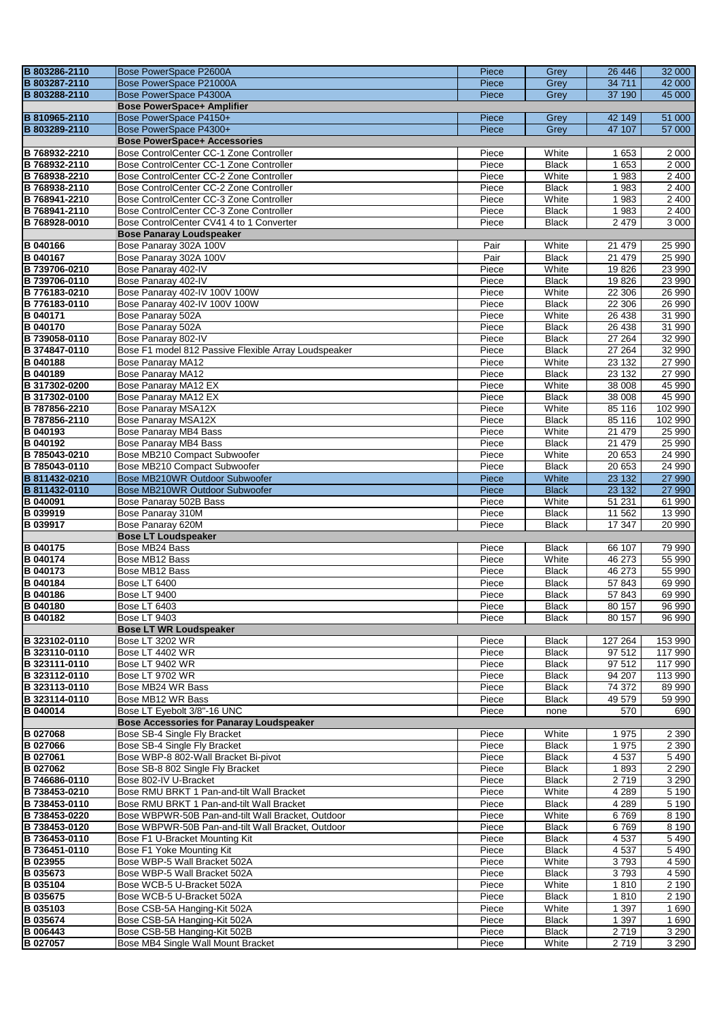| B 803286-2110               | Bose PowerSpace P2600A                                             |                |                       |                               |                    |  |  |  |  |  |
|-----------------------------|--------------------------------------------------------------------|----------------|-----------------------|-------------------------------|--------------------|--|--|--|--|--|
|                             |                                                                    | Piece          | Grey                  | 26 44 6                       | 32 000             |  |  |  |  |  |
| B 803287-2110               | Bose PowerSpace P21000A                                            | Piece          | Grey                  | 34 711                        | 42 000             |  |  |  |  |  |
| B 803288-2110               | Bose PowerSpace P4300A                                             | Piece          | Grey                  | 37 190                        | 45 000             |  |  |  |  |  |
|                             | <b>Bose PowerSpace+ Amplifier</b>                                  |                |                       |                               |                    |  |  |  |  |  |
| B 810965-2110               | Bose PowerSpace P4150+                                             | Piece          | Grey                  | 42 149                        | 51 000             |  |  |  |  |  |
|                             |                                                                    |                |                       |                               |                    |  |  |  |  |  |
| B 803289-2110               | Bose PowerSpace P4300+                                             | Piece          | Grey                  | 47 107                        | 57 000             |  |  |  |  |  |
|                             | <b>Bose PowerSpace+ Accessories</b>                                |                |                       |                               |                    |  |  |  |  |  |
| B 768932-2210               | Bose ControlCenter CC-1 Zone Controller                            | Piece          | White                 | 1 653                         | 2 0 0 0            |  |  |  |  |  |
| B 768932-2110               | Bose ControlCenter CC-1 Zone Controller                            | Piece          | <b>Black</b>          | 1653                          | 2000               |  |  |  |  |  |
| B 768938-2210               |                                                                    |                |                       |                               |                    |  |  |  |  |  |
|                             | Bose ControlCenter CC-2 Zone Controller                            | Piece          | White                 | 1983                          | 2 4 0 0            |  |  |  |  |  |
| B 768938-2110               | Bose ControlCenter CC-2 Zone Controller                            | Piece          | <b>Black</b>          | 1983                          | 2 4 0 0            |  |  |  |  |  |
| B 768941-2210               | Bose ControlCenter CC-3 Zone Controller                            | Piece          | White                 | 1983                          | 2400               |  |  |  |  |  |
| B 768941-2110               | Bose ControlCenter CC-3 Zone Controller                            | Piece          | <b>Black</b>          | 1983                          | 2 4 0 0            |  |  |  |  |  |
| B 768928-0010               | Bose ControlCenter CV41 4 to 1 Converter                           | Piece          | <b>Black</b>          | 2 4 7 9                       | 3 0 0 0            |  |  |  |  |  |
|                             |                                                                    |                |                       |                               |                    |  |  |  |  |  |
|                             | <b>Bose Panaray Loudspeaker</b>                                    |                |                       |                               |                    |  |  |  |  |  |
| <b>B</b> 040166             | Bose Panaray 302A 100V                                             | Pair           | White                 | 21 479                        | 25 990             |  |  |  |  |  |
| <b>B</b> 040167             | Bose Panaray 302A 100V                                             | Pair           | <b>Black</b>          | 21 479                        | 25 990             |  |  |  |  |  |
| B 739706-0210               | Bose Panaray 402-IV                                                | Piece          | White                 | 19826                         | 23 990             |  |  |  |  |  |
| B 739706-0110               |                                                                    |                |                       |                               |                    |  |  |  |  |  |
|                             | Bose Panaray 402-IV                                                | Piece          | <b>Black</b>          | 19826                         | 23 990             |  |  |  |  |  |
| B 776183-0210               | Bose Panaray 402-IV 100V 100W                                      | Piece          | White                 | 22 306                        | 26 990             |  |  |  |  |  |
| B 776183-0110               | Bose Panaray 402-IV 100V 100W                                      | Piece          | <b>Black</b>          | 22 30 6                       | 26 990             |  |  |  |  |  |
| <b>B</b> 040171             | Bose Panaray 502A                                                  | Piece          | White                 | 26 438                        | 31 990             |  |  |  |  |  |
| <b>B</b> 040170             | Bose Panaray 502A                                                  | Piece          | <b>Black</b>          | 26 438                        | 31 990             |  |  |  |  |  |
|                             |                                                                    |                |                       |                               |                    |  |  |  |  |  |
| B 739058-0110               | Bose Panaray 802-IV                                                | Piece          | <b>Black</b>          | 27 264                        | 32 990             |  |  |  |  |  |
| B 374847-0110               | Bose F1 model 812 Passive Flexible Array Loudspeaker               | Piece          | <b>Black</b>          | 27 264                        | 32 990             |  |  |  |  |  |
| <b>B</b> 040188             | Bose Panaray MA12                                                  | Piece          | White                 | 23 132                        | 27 990             |  |  |  |  |  |
| <b>B</b> 040189             | <b>Bose Panaray MA12</b>                                           | Piece          | <b>Black</b>          | 23 132                        | 27 990             |  |  |  |  |  |
| B 317302-0200               | Bose Panaray MA12 EX                                               | Piece          | White                 | 38 008                        | 45 990             |  |  |  |  |  |
|                             |                                                                    |                |                       |                               |                    |  |  |  |  |  |
| B 317302-0100               | Bose Panaray MA12 EX                                               | Piece          | <b>Black</b>          | 38 008                        | 45 990             |  |  |  |  |  |
| B 787856-2210               | Bose Panaray MSA12X                                                | Piece          | White                 | 85 116                        | 102 990            |  |  |  |  |  |
| B 787856-2110               | Bose Panaray MSA12X                                                | Piece          | <b>Black</b>          | 85 116                        | 102 990            |  |  |  |  |  |
| <b>B</b> 040193             | Bose Panaray MB4 Bass                                              | Piece          | White                 | 21 479                        | 25 990             |  |  |  |  |  |
| <b>B</b> 040192             | <b>Bose Panaray MB4 Bass</b>                                       | Piece          | <b>Black</b>          | 21 479                        | 25 990             |  |  |  |  |  |
| B 785043-0210               | Bose MB210 Compact Subwoofer                                       | Piece          | White                 | 20 653                        | 24 990             |  |  |  |  |  |
| B 785043-0110               | Bose MB210 Compact Subwoofer                                       | Piece          | <b>Black</b>          |                               | 24 990             |  |  |  |  |  |
|                             |                                                                    |                |                       | 20 653                        |                    |  |  |  |  |  |
| B 811432-0210               | Bose MB210WR Outdoor Subwoofer                                     | Piece          | White                 | 23 132                        | 27 990             |  |  |  |  |  |
| B 811432-0110               | Bose MB210WR Outdoor Subwoofer                                     | Piece          | <b>Black</b>          | 23 132                        | 27 990             |  |  |  |  |  |
| <b>B</b> 040091             | Bose Panaray 502B Bass                                             | Piece          | White                 | 51 231                        | 61 990             |  |  |  |  |  |
| B 039919                    | Bose Panaray 310M                                                  | Piece          | <b>Black</b>          | 11 562                        | 13 990             |  |  |  |  |  |
| B 039917                    | Bose Panaray 620M                                                  | Piece          | <b>Black</b>          | $17\,347$                     | 20 990             |  |  |  |  |  |
|                             | <b>Bose LT Loudspeaker</b>                                         |                |                       |                               |                    |  |  |  |  |  |
|                             |                                                                    |                |                       |                               |                    |  |  |  |  |  |
| <b>B</b> 040175             | Bose MB24 Bass                                                     | Piece          | <b>Black</b>          | 66 107                        | 79 990             |  |  |  |  |  |
| <b>B</b> 040174             | Bose MB12 Bass                                                     | Piece          | White                 | 46 273                        | 55 990             |  |  |  |  |  |
| <b>B</b> 040173             | Bose MB12 Bass                                                     | Piece          | <b>Black</b>          | 46 273                        | 55 990             |  |  |  |  |  |
| <b>B</b> 040184             | <b>Bose LT 6400</b>                                                | Piece          | <b>Black</b>          | 57843                         | 69 990             |  |  |  |  |  |
| <b>B</b> 040186             | <b>Bose LT 9400</b>                                                | Piece          | <b>Black</b>          | 57843                         | 69 990             |  |  |  |  |  |
| B 040180                    | Bose LT 6403                                                       | Piece          | <b>Black</b>          | 80 157                        | 96 990             |  |  |  |  |  |
|                             |                                                                    |                |                       |                               |                    |  |  |  |  |  |
| <b>B</b> 040182             | <b>Bose LT 9403</b>                                                | Piece          | <b>Black</b>          | 80 157                        | 96 990             |  |  |  |  |  |
|                             |                                                                    |                |                       | <b>Bose LT WR Loudspeaker</b> |                    |  |  |  |  |  |
| B 323102-0110               | <b>Bose LT 3202 WR</b>                                             |                |                       |                               |                    |  |  |  |  |  |
| B 323110-0110               |                                                                    | Piece          | <b>Black</b>          | 127 264                       | 153 990            |  |  |  |  |  |
|                             | Bose LT 4402 WR                                                    | Piece          | <b>Black</b>          | 97 512                        | 117 990            |  |  |  |  |  |
|                             |                                                                    |                |                       |                               |                    |  |  |  |  |  |
| B 323111-0110               | Bose LT 9402 WR                                                    | Piece          | <b>Black</b>          | 97 512                        | 117 990            |  |  |  |  |  |
| B 323112-0110               | Bose LT 9702 WR                                                    | Piece          | <b>Black</b>          | 94 207                        | 113 990            |  |  |  |  |  |
| B 323113-0110               | Bose MB24 WR Bass                                                  | Piece          | <b>Black</b>          | 74 372                        | 89 990             |  |  |  |  |  |
| B 323114-0110               | Bose MB12 WR Bass                                                  | Piece          | <b>Black</b>          | 49 579                        | 59 990             |  |  |  |  |  |
| <b>B</b> 040014             | Bose LT Eyebolt 3/8"-16 UNC                                        | Piece          | none                  | 570                           | 690                |  |  |  |  |  |
|                             | <b>Bose Accessories for Panaray Loudspeaker</b>                    |                |                       |                               |                    |  |  |  |  |  |
|                             |                                                                    |                |                       |                               |                    |  |  |  |  |  |
| <b>B</b> 027068             | Bose SB-4 Single Fly Bracket                                       | Piece          | White                 | 1975                          | 2 3 9 0            |  |  |  |  |  |
| <b>B</b> 027066             | Bose SB-4 Single Fly Bracket                                       | Piece          | <b>Black</b>          | 1975                          | 2 3 9 0            |  |  |  |  |  |
| B 027061                    | Bose WBP-8 802-Wall Bracket Bi-pivot                               | Piece          | <b>Black</b>          | 4537                          | 5 4 9 0            |  |  |  |  |  |
| <b>B</b> 027062             | Bose SB-8 802 Single Fly Bracket                                   | Piece          | <b>Black</b>          | 1893                          | 2 2 9 0            |  |  |  |  |  |
| B 746686-0110               | Bose 802-IV U-Bracket                                              | Piece          | <b>Black</b>          | 2719                          | 3 2 9 0            |  |  |  |  |  |
| B 738453-0210               | Bose RMU BRKT 1 Pan-and-tilt Wall Bracket                          | Piece          | White                 | 4 2 8 9                       | 5 1 9 0            |  |  |  |  |  |
| B 738453-0110               | Bose RMU BRKT 1 Pan-and-tilt Wall Bracket                          | Piece          | <b>Black</b>          | 4 2 8 9                       |                    |  |  |  |  |  |
|                             |                                                                    |                |                       |                               | 5 1 9 0            |  |  |  |  |  |
| B 738453-0220               | Bose WBPWR-50B Pan-and-tilt Wall Bracket, Outdoor                  | Piece          | White                 | 6769                          | 8 1 9 0            |  |  |  |  |  |
| B 738453-0120               | Bose WBPWR-50B Pan-and-tilt Wall Bracket, Outdoor                  | Piece          | <b>Black</b>          | 6769                          | 8 1 9 0            |  |  |  |  |  |
| B 736453-0110               | Bose F1 U-Bracket Mounting Kit                                     | Piece          | <b>Black</b>          | 4 5 3 7                       | 5490               |  |  |  |  |  |
| B 736451-0110               | Bose F1 Yoke Mounting Kit                                          | Piece          | <b>Black</b>          | 4537                          | 5 4 9 0            |  |  |  |  |  |
| B 023955                    | Bose WBP-5 Wall Bracket 502A                                       | Piece          | White                 | 3793                          | 4 5 9 0            |  |  |  |  |  |
| B 035673                    | Bose WBP-5 Wall Bracket 502A                                       | Piece          | <b>Black</b>          | 3793                          | 4 5 9 0            |  |  |  |  |  |
|                             |                                                                    |                |                       |                               |                    |  |  |  |  |  |
| B 035104                    | Bose WCB-5 U-Bracket 502A                                          | Piece          | White                 | 1810                          | 2 190              |  |  |  |  |  |
| <b>B</b> 035675             | Bose WCB-5 U-Bracket 502A                                          | Piece          | <b>Black</b>          | 1810                          | 2 190              |  |  |  |  |  |
| B 035103                    | Bose CSB-5A Hanging-Kit 502A                                       | Piece          | White                 | 1 3 9 7                       | 1 6 9 0            |  |  |  |  |  |
| B 035674                    | Bose CSB-5A Hanging-Kit 502A                                       | Piece          | <b>Black</b>          | 1 3 9 7                       | 1 6 9 0            |  |  |  |  |  |
| <b>B</b> 006443<br>B 027057 | Bose CSB-5B Hanging-Kit 502B<br>Bose MB4 Single Wall Mount Bracket | Piece<br>Piece | <b>Black</b><br>White | 2719<br>2 7 1 9               | 3 2 9 0<br>3 2 9 0 |  |  |  |  |  |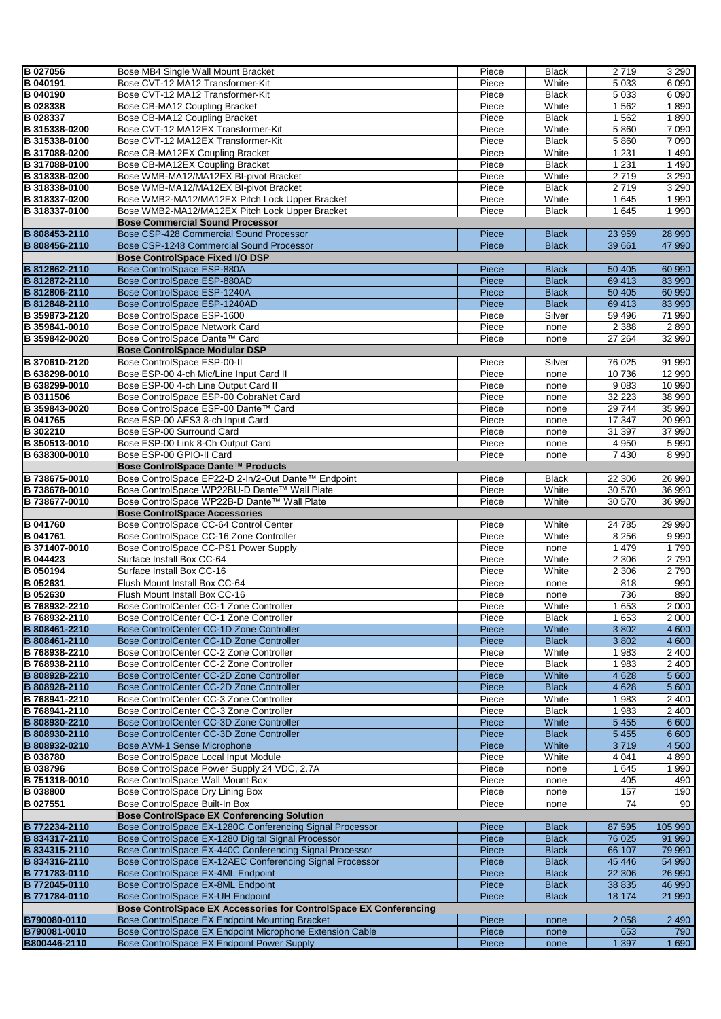| B 027056                     | Bose MB4 Single Wall Mount Bracket                                                                     | Piece          | <b>Black</b> | 2719           | 3 2 9 0            |
|------------------------------|--------------------------------------------------------------------------------------------------------|----------------|--------------|----------------|--------------------|
| B 040191                     | Bose CVT-12 MA12 Transformer-Kit                                                                       | Piece          | White        | 5 0 3 3        | 6090               |
| B 040190                     | Bose CVT-12 MA12 Transformer-Kit                                                                       | Piece          | <b>Black</b> | 5 0 3 3        | 6090               |
| B 028338                     | Bose CB-MA12 Coupling Bracket                                                                          | Piece          | White        | 1562           | 1890               |
| B 028337                     | Bose CB-MA12 Coupling Bracket                                                                          | Piece          | <b>Black</b> | 1 5 6 2        | 1890               |
| B 315338-0200                | Bose CVT-12 MA12EX Transformer-Kit                                                                     | Piece          | White        | 5860           | 7 0 9 0            |
|                              |                                                                                                        |                |              |                |                    |
| B 315338-0100                | Bose CVT-12 MA12EX Transformer-Kit                                                                     | Piece          | <b>Black</b> | 5860           | 7 0 9 0            |
| B 317088-0200                | Bose CB-MA12EX Coupling Bracket                                                                        | Piece          | White        | 1 2 3 1        | 1490               |
| B 317088-0100                | Bose CB-MA12EX Coupling Bracket                                                                        | Piece          | <b>Black</b> | 1 2 3 1        | 1 4 9 0            |
| B 318338-0200                | Bose WMB-MA12/MA12EX BI-pivot Bracket                                                                  | Piece          | White        | 2719           | 3 2 9 0            |
| B 318338-0100                | Bose WMB-MA12/MA12EX BI-pivot Bracket                                                                  | Piece          | <b>Black</b> | 2719           | 3 2 9 0            |
| B 318337-0200                | Bose WMB2-MA12/MA12EX Pitch Lock Upper Bracket                                                         | Piece          | White        | 1645           | 1 9 9 0            |
| B 318337-0100                | Bose WMB2-MA12/MA12EX Pitch Lock Upper Bracket                                                         |                | <b>Black</b> | 1645           | 1 9 9 0            |
|                              |                                                                                                        | Piece          |              |                |                    |
|                              | <b>Bose Commercial Sound Processor</b>                                                                 |                |              |                |                    |
| B 808453-2110                | Bose CSP-428 Commercial Sound Processor                                                                | Piece          | <b>Black</b> | 23 959         | 28 990             |
| B 808456-2110                | Bose CSP-1248 Commercial Sound Processor                                                               | Piece          | <b>Black</b> | 39 661         | 47 990             |
|                              | <b>Bose ControlSpace Fixed I/O DSP</b>                                                                 |                |              |                |                    |
| B 812862-2110                | Bose ControlSpace ESP-880A                                                                             | Piece          | <b>Black</b> | 50 40 5        | 60 990             |
| B 812872-2110                | Bose ControlSpace ESP-880AD                                                                            | Piece          | <b>Black</b> | 69 413         | 83 990             |
| B 812806-2110                | Bose ControlSpace ESP-1240A                                                                            | Piece          | <b>Black</b> | 50 40 5        | 60 990             |
| B 812848-2110                | Bose ControlSpace ESP-1240AD                                                                           | Piece          | <b>Black</b> | 69 413         | 83 990             |
|                              |                                                                                                        |                |              |                |                    |
| B 359873-2120                | Bose ControlSpace ESP-1600                                                                             | Piece          | Silver       | 59 496         | 71 990             |
| B 359841-0010                | Bose ControlSpace Network Card                                                                         | Piece          | none         | 2 3 8 8        | 2 8 9 0            |
| B 359842-0020                | Bose ControlSpace Dante™ Card                                                                          | Piece          | none         | 27 264         | 32 990             |
|                              | <b>Bose ControlSpace Modular DSP</b>                                                                   |                |              |                |                    |
| B 370610-2120                | Bose ControlSpace ESP-00-II                                                                            | Piece          | Silver       | 76 025         | 91 990             |
| B 638298-0010                | Bose ESP-00 4-ch Mic/Line Input Card II                                                                | Piece          | none         | 10736          | 12 990             |
| B 638299-0010                | Bose ESP-00 4-ch Line Output Card II                                                                   | Piece          | none         | 9083           | 10 990             |
| B 0311506                    | Bose ControlSpace ESP-00 CobraNet Card                                                                 | Piece          |              | 32 22 3        | 38 990             |
|                              |                                                                                                        |                | none         |                |                    |
| B 359843-0020                | Bose ControlSpace ESP-00 Dante™ Card                                                                   | Piece          | none         | 29744          | 35 990             |
| B 041765                     | Bose ESP-00 AES3 8-ch Input Card                                                                       | Piece          | none         | 17 347         | 20 990             |
| B 302210                     | Bose ESP-00 Surround Card                                                                              | Piece          | none         | 31 397         | 37 990             |
| B 350513-0010                | Bose ESP-00 Link 8-Ch Output Card                                                                      | Piece          | none         | 4 9 5 0        | 5 9 9 0            |
| B 638300-0010                | Bose ESP-00 GPIO-II Card                                                                               | Piece          | none         | 7 4 3 0        | 8 9 9 0            |
|                              | Bose ControlSpace Dante™ Products                                                                      |                |              |                |                    |
| B 738675-0010                | Bose ControlSpace EP22-D 2-In/2-Out Dante™ Endpoint                                                    | Piece          | <b>Black</b> | 22 306         | 26 990             |
| B 738678-0010                | Bose ControlSpace WP22BU-D Dante™ Wall Plate                                                           | Piece          | White        | 30 570         | 36 990             |
|                              |                                                                                                        |                |              |                | 36 990             |
|                              |                                                                                                        |                |              |                |                    |
| B 738677-0010                | Bose ControlSpace WP22B-D Dante™ Wall Plate                                                            | Piece          | White        | 30 570         |                    |
|                              | <b>Bose ControlSpace Accessories</b>                                                                   |                |              |                |                    |
| B 041760                     | Bose ControlSpace CC-64 Control Center                                                                 | Piece          | White        | 24 785         | 29 990             |
| B 041761                     | Bose ControlSpace CC-16 Zone Controller                                                                | Piece          | White        | 8 2 5 6        | 9 9 9 0            |
| B 371407-0010                | Bose ControlSpace CC-PS1 Power Supply                                                                  | Piece          | none         | 1 4 7 9        | 1790               |
|                              | Surface Install Box CC-64                                                                              |                | White        | 2 3 0 6        | 2790               |
| <b>B</b> 044423              |                                                                                                        | Piece          |              |                |                    |
| B 050194                     | Surface Install Box CC-16                                                                              | Piece          | White        | 2 3 0 6        | 2790               |
| B 052631                     | Flush Mount Install Box CC-64                                                                          | Piece          | none         | 818            | 990                |
| B 052630                     | Flush Mount Install Box CC-16                                                                          | Piece          | none         | 736            | 890                |
| B 768932-2210                | Bose ControlCenter CC-1 Zone Controller                                                                | Piece          | White        | 1653           | 2 0 0 0            |
| B 768932-2110                | Bose ControlCenter CC-1 Zone Controller                                                                | Piece          | <b>Black</b> | 1653           | 2 0 0 0            |
| B 808461-2210                | Bose ControlCenter CC-1D Zone Controller                                                               | Piece          | White        | 3 8 0 2        | 4 600              |
| B 808461-2110                | Bose ControlCenter CC-1D Zone Controller                                                               | Piece          | <b>Black</b> | 3802           | 4 600              |
| B 768938-2210                | Bose ControlCenter CC-2 Zone Controller                                                                | Piece          | White        | 1983           | 2 400              |
| B768938-2110                 | Bose ControlCenter CC-2 Zone Controller                                                                | Piece          | <b>Black</b> | 1983           | 2 400              |
|                              |                                                                                                        |                |              | 4 6 28         |                    |
| B 808928-2210                | Bose ControlCenter CC-2D Zone Controller                                                               | Piece          | White        |                | 5 600              |
| B 808928-2110                | Bose ControlCenter CC-2D Zone Controller                                                               | Piece          | <b>Black</b> | 4 6 28         | 5 600              |
| B 768941-2210                | Bose ControlCenter CC-3 Zone Controller                                                                | Piece          | White        | 1983           | 2 4 0 0            |
| B 768941-2110                | Bose ControlCenter CC-3 Zone Controller                                                                | Piece          | Black        | 1983           | $\overline{2}$ 400 |
| B 808930-2210                | Bose ControlCenter CC-3D Zone Controller                                                               | Piece          | White        | 5 4 5 5        | 6 600              |
| B 808930-2110                | Bose ControlCenter CC-3D Zone Controller                                                               | Piece          | <b>Black</b> | 5 4 5 5        | 6 600              |
| B 808932-0210                | Bose AVM-1 Sense Microphone                                                                            | Piece          | White        | 3719           | 4 500              |
| B 038780                     | Bose ControlSpace Local Input Module                                                                   | Piece          | White        | 4 0 4 1        | 4 8 9 0            |
| B 038796                     | Bose ControlSpace Power Supply 24 VDC, 2.7A                                                            | Piece          | none         | 1645           | 1990               |
|                              |                                                                                                        |                |              |                |                    |
| B 751318-0010                | Bose ControlSpace Wall Mount Box                                                                       | Piece          | none         | 405            | 490                |
| B 038800                     | Bose ControlSpace Dry Lining Box                                                                       | Piece          | none         | 157            | 190                |
| B 027551                     | Bose ControlSpace Built-In Box                                                                         | Piece          | none         | 74             | 90                 |
|                              | <b>Bose ControlSpace EX Conferencing Solution</b>                                                      |                |              |                |                    |
| B 772234-2110                | Bose ControlSpace EX-1280C Conferencing Signal Processor                                               | Piece          | <b>Black</b> | 87 595         | 105 990            |
| B 834317-2110                | Bose ControlSpace EX-1280 Digital Signal Processor                                                     | Piece          | <b>Black</b> | 76 0 25        | 91 990             |
| B 834315-2110                | Bose ControlSpace EX-440C Conferencing Signal Processor                                                | Piece          | <b>Black</b> | 66 107         | 79 990             |
| B 834316-2110                | Bose ControlSpace EX-12AEC Conferencing Signal Processor                                               | Piece          | <b>Black</b> | 45 44 6        | 54 990             |
|                              |                                                                                                        |                |              |                |                    |
| B 771783-0110                | Bose ControlSpace EX-4ML Endpoint                                                                      | Piece          | <b>Black</b> | 22 306         | 26 990             |
| B 772045-0110                | <b>Bose ControlSpace EX-8ML Endpoint</b>                                                               | Piece          | <b>Black</b> | 38 835         | 46 990             |
| B 771784-0110                | Bose ControlSpace EX-UH Endpoint                                                                       | Piece          | <b>Black</b> | 18 174         | 21 990             |
|                              | Bose ControlSpace EX Accessories for ControlSpace EX Conferencing                                      |                |              |                |                    |
| B790080-0110                 | Bose ControlSpace EX Endpoint Mounting Bracket                                                         | Piece          | none         | 2 0 5 8        | 2 4 9 0            |
| B790081-0010<br>B800446-2110 | Bose ControlSpace EX Endpoint Microphone Extension Cable<br>Bose ControlSpace EX Endpoint Power Supply | Piece<br>Piece | none         | 653<br>1 3 9 7 | 790<br>1 6 9 0     |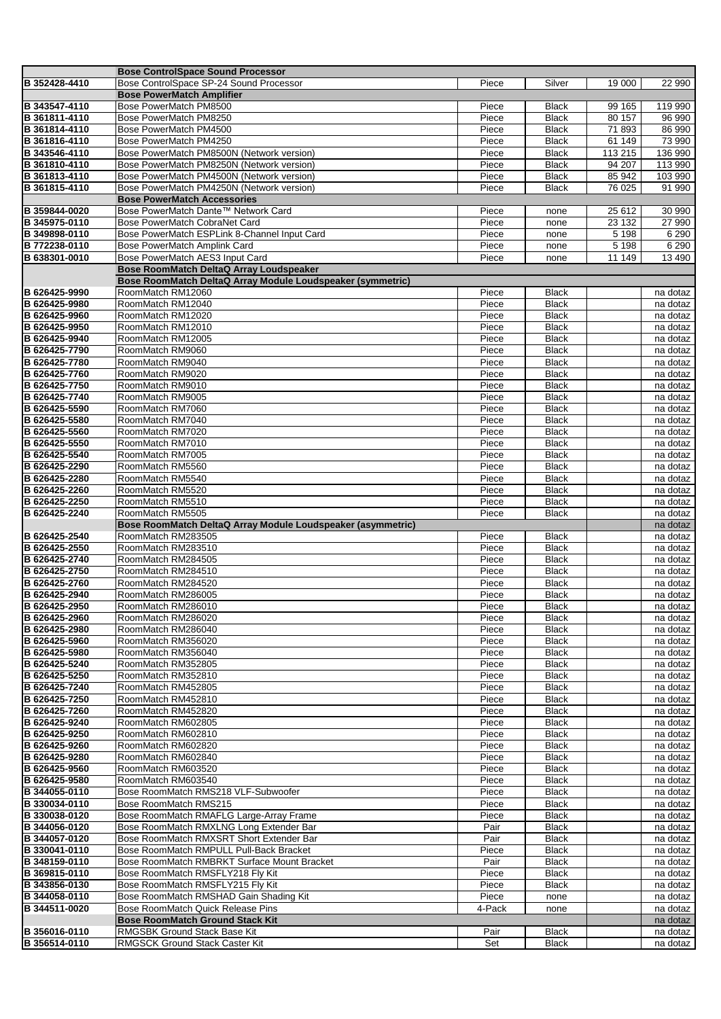|                                | <b>Bose ControlSpace Sound Processor</b>                                      |                 |                              |                   |                      |
|--------------------------------|-------------------------------------------------------------------------------|-----------------|------------------------------|-------------------|----------------------|
| B 352428-4410                  | Bose ControlSpace SP-24 Sound Processor                                       | Piece           | Silver                       | 19 000            | 22 990               |
|                                | <b>Bose PowerMatch Amplifier</b>                                              |                 |                              |                   |                      |
| B 343547-4110                  | Bose PowerMatch PM8500                                                        | Piece           | <b>Black</b>                 | 99 165            | 119 990              |
| B 361811-4110<br>B 361814-4110 | Bose PowerMatch PM8250<br>Bose PowerMatch PM4500                              | Piece<br>Piece  | <b>Black</b><br><b>Black</b> | 80 157<br>71893   | 96 990<br>86 990     |
| B 361816-4110                  | Bose PowerMatch PM4250                                                        | Piece           | <b>Black</b>                 | 61 149            | 73 990               |
| B 343546-4110                  | Bose PowerMatch PM8500N (Network version)                                     | Piece           | <b>Black</b>                 | 113 215           | 136 990              |
| B 361810-4110                  | Bose PowerMatch PM8250N (Network version)                                     | Piece           | <b>Black</b>                 | 94 207            | 113 990              |
| B 361813-4110                  | Bose PowerMatch PM4500N (Network version)                                     | Piece           | <b>Black</b>                 | 85 942            | 103 990              |
| B 361815-4110                  | Bose PowerMatch PM4250N (Network version)                                     | Piece           | <b>Black</b>                 | 76 025            | 91 990               |
|                                | <b>Bose PowerMatch Accessories</b>                                            |                 |                              |                   |                      |
| B 359844-0020                  | Bose PowerMatch Dante™ Network Card                                           | Piece           | none                         | 25 612            | 30 990               |
| B 345975-0110<br>B 349898-0110 | Bose PowerMatch CobraNet Card<br>Bose PowerMatch ESPLink 8-Channel Input Card | Piece<br>Piece  | none<br>none                 | 23 132<br>5 1 9 8 | 27 990<br>6 2 9 0    |
| B 772238-0110                  | Bose PowerMatch Amplink Card                                                  | Piece           | none                         | 5198              | 6 2 9 0              |
| B 638301-0010                  | Bose PowerMatch AES3 Input Card                                               | Piece           | none                         | 11 149            | 13 490               |
|                                | Bose RoomMatch DeltaQ Array Loudspeaker                                       |                 |                              |                   |                      |
|                                | Bose RoomMatch DeltaQ Array Module Loudspeaker (symmetric)                    |                 |                              |                   |                      |
| B 626425-9990                  | RoomMatch RM12060                                                             | Piece           | <b>Black</b>                 |                   | na dotaz             |
| B 626425-9980                  | RoomMatch RM12040                                                             | Piece           | <b>Black</b>                 |                   | na dotaz             |
| B 626425-9960                  | RoomMatch RM12020                                                             | Piece           | <b>Black</b>                 |                   | na dotaz             |
| B 626425-9950                  | RoomMatch RM12010                                                             | Piece           | <b>Black</b>                 |                   | na dotaz             |
| B 626425-9940<br>B 626425-7790 | RoomMatch RM12005<br>RoomMatch RM9060                                         | Piece<br>Piece  | <b>Black</b><br><b>Black</b> |                   | na dotaz<br>na dotaz |
| B 626425-7780                  | RoomMatch RM9040                                                              | Piece           | <b>Black</b>                 |                   | na dotaz             |
| B 626425-7760                  | RoomMatch RM9020                                                              | Piece           | <b>Black</b>                 |                   | na dotaz             |
| B 626425-7750                  | RoomMatch RM9010                                                              | Piece           | <b>Black</b>                 |                   | na dotaz             |
| B 626425-7740                  | RoomMatch RM9005                                                              | Piece           | <b>Black</b>                 |                   | na dotaz             |
| B 626425-5590                  | RoomMatch RM7060                                                              | Piece           | <b>Black</b>                 |                   | na dotaz             |
| B 626425-5580                  | RoomMatch RM7040                                                              | Piece           | <b>Black</b>                 |                   | na dotaz             |
| B 626425-5560                  | RoomMatch RM7020                                                              | Piece           | <b>Black</b>                 |                   | na dotaz             |
| B 626425-5550                  | RoomMatch RM7010                                                              | Piece           | <b>Black</b>                 |                   | na dotaz             |
| B 626425-5540                  | RoomMatch RM7005                                                              | Piece           | <b>Black</b>                 |                   | na dotaz             |
| B 626425-2290                  | RoomMatch RM5560                                                              | Piece           | <b>Black</b>                 |                   | na dotaz             |
| B 626425-2280<br>B 626425-2260 | RoomMatch RM5540<br>RoomMatch RM5520                                          | Piece<br>Piece  | <b>Black</b><br><b>Black</b> |                   | na dotaz<br>na dotaz |
| B 626425-2250                  | RoomMatch RM5510                                                              | Piece           | <b>Black</b>                 |                   | na dotaz             |
| B 626425-2240                  | RoomMatch RM5505                                                              | Piece           | <b>Black</b>                 |                   | na dotaz             |
|                                | Bose RoomMatch DeltaQ Array Module Loudspeaker (asymmetric)                   |                 |                              |                   | na dotaz             |
| B 626425-2540                  | RoomMatch RM283505                                                            | Piece           | <b>Black</b>                 |                   | na dotaz             |
| B 626425-2550                  | RoomMatch RM283510                                                            | Piece           | <b>Black</b>                 |                   | na dotaz             |
| B 626425-2740                  | RoomMatch RM284505                                                            | Piece           | <b>Black</b>                 |                   | na dotaz             |
| B 626425-2750                  | RoomMatch RM284510                                                            | Piece           | <b>Black</b>                 |                   | na dotaz             |
| B 626425-2760                  | RoomMatch RM284520                                                            | Piece           | <b>Black</b>                 |                   | na dotaz             |
| B 626425-2940                  | RoomMatch RM286005                                                            | Piece           | <b>Black</b>                 |                   | na dotaz             |
| B 626425-2950<br>B 626425-2960 | RoomMatch RM286010<br>RoomMatch RM286020                                      | Piece<br>Piece  | <b>Black</b><br><b>Black</b> |                   | na dotaz<br>na dotaz |
| B 626425-2980                  | RoomMatch RM286040                                                            | Piece           | <b>Black</b>                 |                   | na dotaz             |
| B 626425-5960                  | RoomMatch RM356020                                                            | Piece           | <b>Black</b>                 |                   | na dotaz             |
| B 626425-5980                  | RoomMatch RM356040                                                            | Piece           | <b>Black</b>                 |                   | na dotaz             |
| B 626425-5240                  | RoomMatch RM352805                                                            | Piece           | <b>Black</b>                 |                   | na dotaz             |
| B 626425-5250                  | RoomMatch RM352810                                                            | Piece           | <b>Black</b>                 |                   | na dotaz             |
| B 626425-7240                  | RoomMatch RM452805                                                            | Piece           | <b>Black</b>                 |                   | na dotaz             |
| B 626425-7250                  | RoomMatch RM452810                                                            | Piece           | <b>Black</b>                 |                   | na dotaz             |
| B 626425-7260                  | RoomMatch RM452820                                                            | Piece           | <b>Black</b>                 |                   | na dotaz             |
| B 626425-9240                  | RoomMatch RM602805                                                            | Piece           | <b>Black</b>                 |                   | na dotaz             |
| B 626425-9250                  | RoomMatch RM602810                                                            | Piece           | <b>Black</b>                 |                   | na dotaz             |
| B 626425-9260<br>B 626425-9280 | RoomMatch RM602820<br>RoomMatch RM602840                                      | Piece<br>Piece  | <b>Black</b><br><b>Black</b> |                   | na dotaz<br>na dotaz |
| B 626425-9560                  | RoomMatch RM603520                                                            | Piece           | <b>Black</b>                 |                   | na dotaz             |
| B 626425-9580                  | RoomMatch RM603540                                                            | Piece           | <b>Black</b>                 |                   | na dotaz             |
| B 344055-0110                  | Bose RoomMatch RMS218 VLF-Subwoofer                                           | Piece           | <b>Black</b>                 |                   | na dotaz             |
| B 330034-0110                  | Bose RoomMatch RMS215                                                         | Piece           | <b>Black</b>                 |                   | na dotaz             |
| B 330038-0120                  | Bose RoomMatch RMAFLG Large-Array Frame                                       | Piece           | <b>Black</b>                 |                   | na dotaz             |
| B 344056-0120                  | Bose RoomMatch RMXLNG Long Extender Bar                                       | Pair            | <b>Black</b>                 |                   | na dotaz             |
| B 344057-0120                  | Bose RoomMatch RMXSRT Short Extender Bar                                      | Pair            | <b>Black</b>                 |                   | na dotaz             |
| B 330041-0110                  | Bose RoomMatch RMPULL Pull-Back Bracket                                       | Piece           | <b>Black</b>                 |                   | na dotaz             |
| B 348159-0110                  | Bose RoomMatch RMBRKT Surface Mount Bracket                                   | Pair            | <b>Black</b>                 |                   | na dotaz             |
| B 369815-0110                  | Bose RoomMatch RMSFLY218 Fly Kit                                              | Piece           | <b>Black</b>                 |                   | na dotaz             |
| B 343856-0130                  | Bose RoomMatch RMSFLY215 Fly Kit                                              | Piece           | <b>Black</b>                 |                   | na dotaz             |
| B 344058-0110<br>B 344511-0020 | Bose RoomMatch RMSHAD Gain Shading Kit<br>Bose RoomMatch Quick Release Pins   | Piece<br>4-Pack | none<br>none                 |                   | na dotaz<br>na dotaz |
|                                | <b>Bose RoomMatch Ground Stack Kit</b>                                        |                 |                              |                   | na dotaz             |
| B 356016-0110                  | <b>RMGSBK Ground Stack Base Kit</b>                                           | Pair            | <b>Black</b>                 |                   | na dotaz             |
| B 356514-0110                  | <b>RMGSCK Ground Stack Caster Kit</b>                                         | Set             | <b>Black</b>                 |                   | na dotaz             |